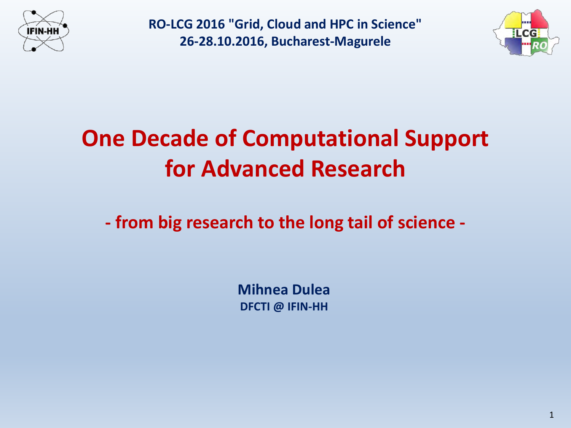



## **One Decade of Computational Support for Advanced Research**

**- from big research to the long tail of science -**

**Mihnea Dulea DFCTI @ IFIN-HH**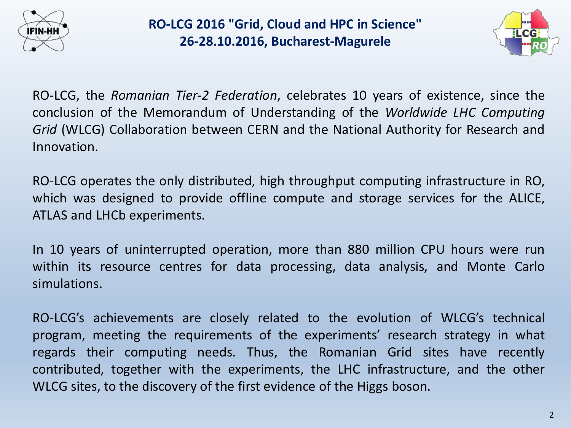



RO-LCG, the *Romanian Tier-2 Federation*, celebrates 10 years of existence, since the conclusion of the Memorandum of Understanding of the *Worldwide LHC Computing Grid* (WLCG) Collaboration between CERN and the National Authority for Research and Innovation.

RO-LCG operates the only distributed, high throughput computing infrastructure in RO, which was designed to provide offline compute and storage services for the ALICE, ATLAS and LHCb experiments.

In 10 years of uninterrupted operation, more than 880 million CPU hours were run within its resource centres for data processing, data analysis, and Monte Carlo simulations.

RO-LCG's achievements are closely related to the evolution of WLCG's technical program, meeting the requirements of the experiments' research strategy in what regards their computing needs. Thus, the Romanian Grid sites have recently contributed, together with the experiments, the LHC infrastructure, and the other WLCG sites, to the discovery of the first evidence of the Higgs boson.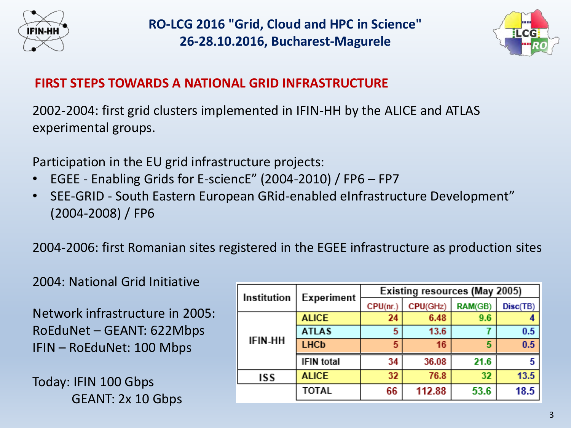



#### **FIRST STEPS TOWARDS A NATIONAL GRID INFRASTRUCTURE**

2002-2004: first grid clusters implemented in IFIN-HH by the ALICE and ATLAS experimental groups.

Participation in the EU grid infrastructure projects:

- EGEE Enabling Grids for E-sciencE" (2004-2010) / FP6 FP7
- SEE-GRID South Eastern European GRid-enabled eInfrastructure Development" (2004-2008) / FP6

2004-2006: first Romanian sites registered in the EGEE infrastructure as production sites

2004: National Grid Initiative

Network infrastructure in 2005: RoEduNet – GEANT: 622Mbps IFIN – RoEduNet: 100 Mbps

Today: IFIN 100 Gbps GEANT: 2x 10 Gbps

|  | Institution    | Experiment        | Existing resources (May 2005) |          |         |          |  |
|--|----------------|-------------------|-------------------------------|----------|---------|----------|--|
|  |                |                   | CPU(nr.)                      | CPU(GHz) | RAM(GB) | Disc(TB) |  |
|  | <b>IFIN-HH</b> | <b>ALICE</b>      | 24                            | 6.48     | 9.6     |          |  |
|  |                | <b>ATLAS</b>      | 5                             | 13.6     |         | 0.5      |  |
|  |                | <b>LHCb</b>       | 5                             | 16       | 5       | 0.5      |  |
|  |                | <b>IFIN</b> total | 34                            | 36.08    | 21.6    |          |  |
|  | ISS            | <b>ALICE</b>      | 32                            | 76.8     | 32      | 13.5     |  |
|  |                | <b>TOTAL</b>      | 66                            | 112.88   | 53.6    | 18.5     |  |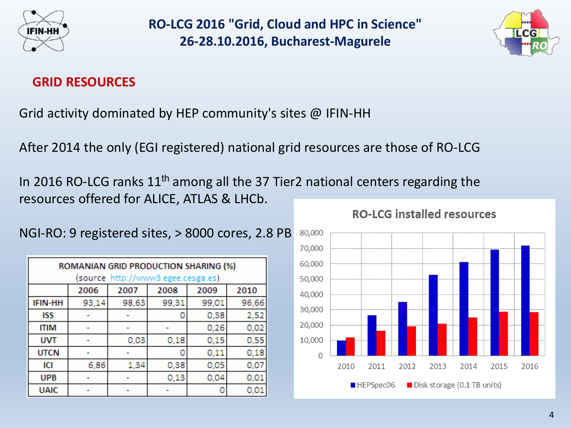



#### **GRID RESOURCES**

Grid activity dominated by HEP community's sites @ IFIN-HH

After 2014 the only (EGI registered) national grid resources are those of RO-LCG

In 2016 RO-LCG ranks  $11<sup>th</sup>$  among all the 37 Tier2 national centers regarding the resources offered for ALICE, ATLAS & LHCb.

| ROMANIAN GRID PRODUCTION SHARING (%)<br>(source http://www3.egee.cesga.es) |       |       |       |       |       |  |  |  |  |
|----------------------------------------------------------------------------|-------|-------|-------|-------|-------|--|--|--|--|
|                                                                            | 2006  | 2007  | 2008  | 2009  | 2010  |  |  |  |  |
| <b>IFIN-HH</b>                                                             | 93,14 | 98,63 | 99,31 | 99,01 | 96,66 |  |  |  |  |
| ISS                                                                        |       |       | ٥     | 0,38  | 2,52  |  |  |  |  |
| <b>ITIM</b>                                                                |       |       |       | 0,26  | 0,02  |  |  |  |  |
| <b>UVT</b>                                                                 |       | 0,03  | 0,18  | 0,15  | 0,55  |  |  |  |  |
| <b>UTCN</b>                                                                |       |       | ٥     | 0,11  | 0,18  |  |  |  |  |
| ıсı                                                                        | 6,86  | 1,34  | 0,38  | 0,05  | 0,07  |  |  |  |  |
| <b>UPB</b>                                                                 |       |       | 0,13  | 0,04  | 0,01  |  |  |  |  |
| <b>UAIC</b>                                                                |       |       |       | 0     | 0,01  |  |  |  |  |



#### **RO-LCG installed resources**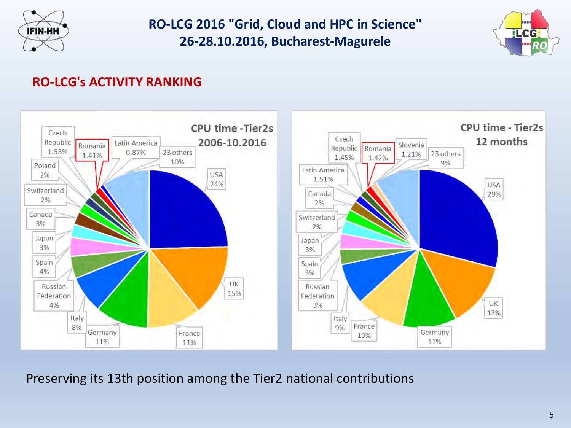



#### **RO-LCG's ACTIVITY RANKING**



Preserving its 13th position among the Tier2 national contributions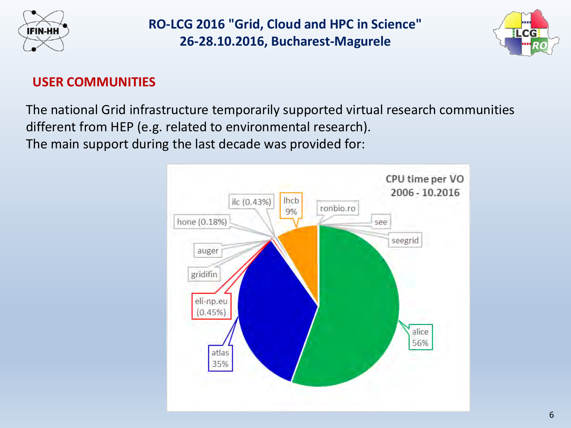



#### **USER COMMUNITIES**

The national Grid infrastructure temporarily supported virtual research communities different from HEP (e.g. related to environmental research).

The main support during the last decade was provided for:

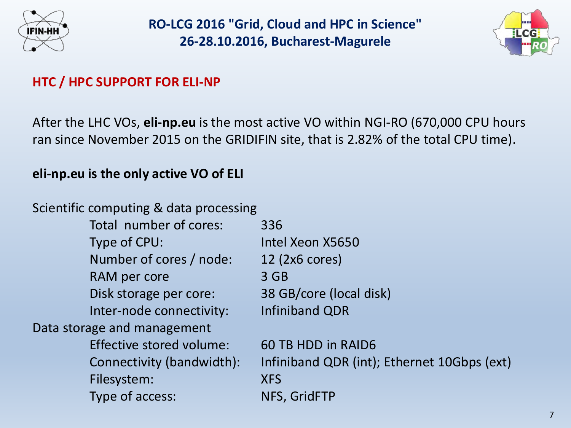



#### **HTC / HPC SUPPORT FOR ELI-NP**

After the LHC VOs, **eli-np.eu** is the most active VO within NGI-RO (670,000 CPU hours ran since November 2015 on the GRIDIFIN site, that is 2.82% of the total CPU time).

#### **eli-np.eu is the only active VO of ELI**

Scientific computing & data processing

Total number of cores: 336 Type of CPU: Intel Xeon X5650 Number of cores / node: 12 (2x6 cores) RAM per core 3 GB Disk storage per core: 38 GB/core (local disk) Inter-node connectivity: Infiniband QDR Data storage and management Effective stored volume: 60 TB HDD in RAID6 Filesystem: XFS Type of access: NFS, GridFTP

Connectivity (bandwidth): Infiniband QDR (int); Ethernet 10Gbps (ext)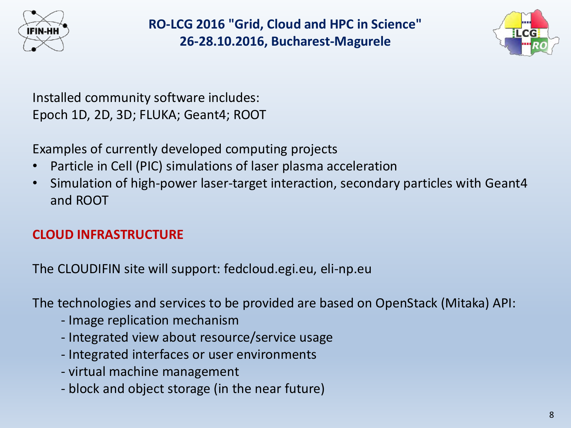



Installed community software includes: Epoch 1D, 2D, 3D; FLUKA; Geant4; ROOT

Examples of currently developed computing projects

- Particle in Cell (PIC) simulations of laser plasma acceleration
- Simulation of high-power laser-target interaction, secondary particles with Geant4 and ROOT

### **CLOUD INFRASTRUCTURE**

The CLOUDIFIN site will support: fedcloud.egi.eu, eli-np.eu

The technologies and services to be provided are based on OpenStack (Mitaka) API:

- Image replication mechanism
- Integrated view about resource/service usage
- Integrated interfaces or user environments
- virtual machine management
- block and object storage (in the near future)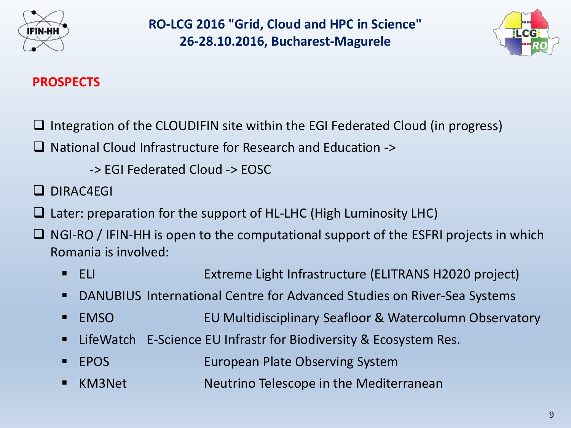



#### **PROSPECTS**

- Integration of the CLOUDIFIN site within the EGI Federated Cloud (in progress)
- □ National Cloud Infrastructure for Research and Education ->
	- -> EGI Federated Cloud -> EOSC
- DIRAC4EGI
- $\Box$  Later: preparation for the support of HL-LHC (High Luminosity LHC)
- NGI-RO / IFIN-HH is open to the computational support of the ESFRI projects in which Romania is involved:
	- ELI ELI Extreme Light Infrastructure (ELITRANS H2020 project)
	- DANUBIUS International Centre for Advanced Studies on River-Sea Systems
	- EMSO EU Multidisciplinary Seafloor & Watercolumn Observatory
	- LifeWatch E-Science EU Infrastr for Biodiversity & Ecosystem Res.
	- EPOS European Plate Observing System
	- KM3Net **Neutrino Telescope in the Mediterranean**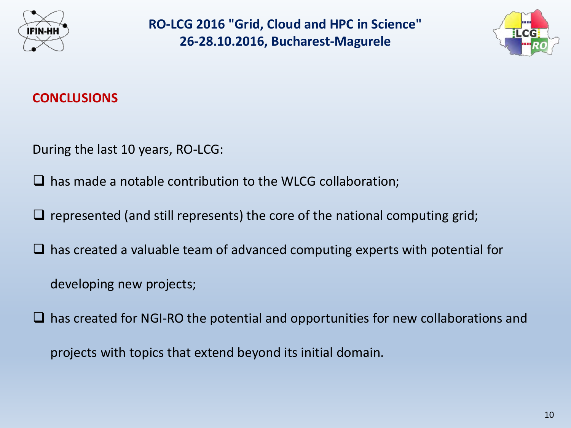



#### **CONCLUSIONS**

During the last 10 years, RO-LCG:

 $\Box$  has made a notable contribution to the WLCG collaboration;

- $\Box$  represented (and still represents) the core of the national computing grid;
- $\Box$  has created a valuable team of advanced computing experts with potential for
	- developing new projects;
- $\Box$  has created for NGI-RO the potential and opportunities for new collaborations and

projects with topics that extend beyond its initial domain.